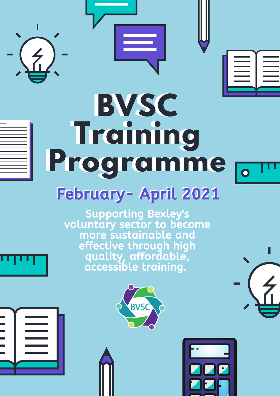



# BVSC Training Programme February- April 2021

Supporting Bexley's voluntary sector to become more sustainable and effective through high quality, affordable, accessible training.